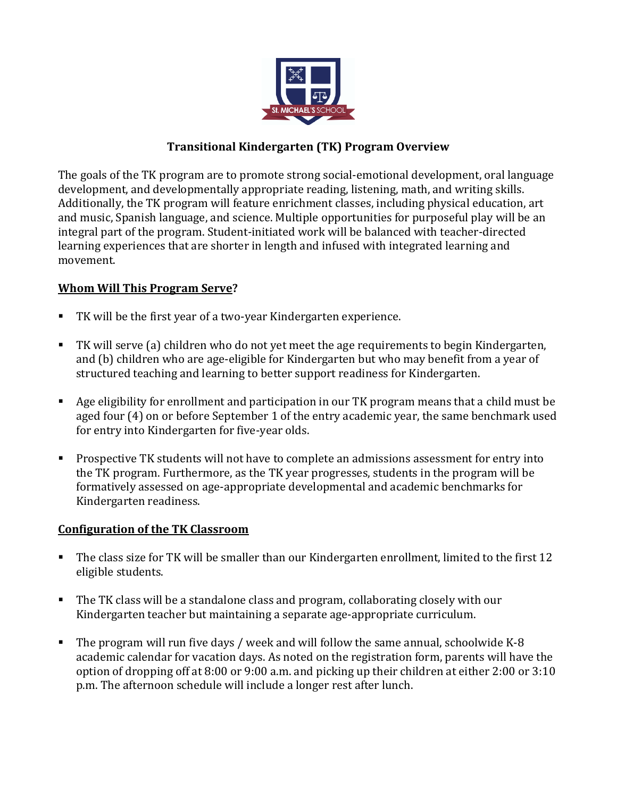

## **Transitional Kindergarten (TK) Program Overview**

The goals of the TK program are to promote strong social-emotional development, oral language development, and developmentally appropriate reading, listening, math, and writing skills. Additionally, the TK program will feature enrichment classes, including physical education, art and music, Spanish language, and science. Multiple opportunities for purposeful play will be an integral part of the program. Student-initiated work will be balanced with teacher-directed learning experiences that are shorter in length and infused with integrated learning and movement.

## **Whom Will This Program Serve?**

- TK will be the first year of a two-year Kindergarten experience.
- TK will serve (a) children who do not yet meet the age requirements to begin Kindergarten, and (b) children who are age-eligible for Kindergarten but who may benefit from a year of structured teaching and learning to better support readiness for Kindergarten.
- Age eligibility for enrollment and participation in our TK program means that a child must be aged four (4) on or before September 1 of the entry academic year, the same benchmark used for entry into Kindergarten for five-year olds.
- **Prospective TK students will not have to complete an admissions assessment for entry into** the TK program. Furthermore, as the TK year progresses, students in the program will be formatively assessed on age-appropriate developmental and academic benchmarks for Kindergarten readiness.

## **Configuration of the TK Classroom**

- The class size for TK will be smaller than our Kindergarten enrollment, limited to the first 12 eligible students.
- The TK class will be a standalone class and program, collaborating closely with our Kindergarten teacher but maintaining a separate age-appropriate curriculum.
- The program will run five days / week and will follow the same annual, schoolwide K-8 academic calendar for vacation days. As noted on the registration form, parents will have the option of dropping off at 8:00 or 9:00 a.m. and picking up their children at either 2:00 or 3:10 p.m. The afternoon schedule will include a longer rest after lunch.